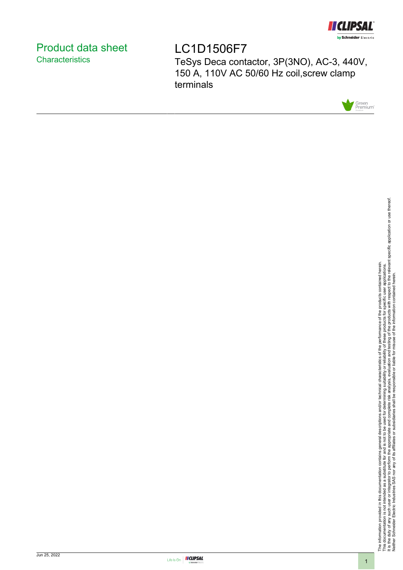

# <span id="page-0-0"></span>Product data sheet **Characteristics**

LC1D1506F7 TeSys Deca contactor, 3P(3NO), AC-3, 440V, 150 A, 110V AC 50/60 Hz coil,screw clamp terminals



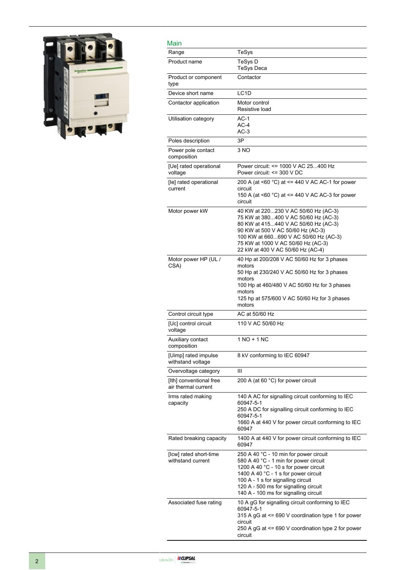

| Main                                           |                                                                                                                                                                                                                                                                                          |
|------------------------------------------------|------------------------------------------------------------------------------------------------------------------------------------------------------------------------------------------------------------------------------------------------------------------------------------------|
| Range                                          | TeSys                                                                                                                                                                                                                                                                                    |
| Product name                                   | TeSys D<br>TeSys Deca                                                                                                                                                                                                                                                                    |
| Product or component<br>type                   | Contactor                                                                                                                                                                                                                                                                                |
| Device short name                              | LC <sub>1</sub> D                                                                                                                                                                                                                                                                        |
| Contactor application                          | Motor control<br>Resistive load                                                                                                                                                                                                                                                          |
| Utilisation category                           | $AC-1$<br>$AC-4$<br>$AC-3$                                                                                                                                                                                                                                                               |
| Poles description                              | 3P                                                                                                                                                                                                                                                                                       |
| Power pole contact<br>composition              | 3 NO                                                                                                                                                                                                                                                                                     |
| [Ue] rated operational<br>voltage              | Power circuit: <= 1000 V AC 25400 Hz<br>Power circuit: <= 300 V DC                                                                                                                                                                                                                       |
| [le] rated operational<br>current              | 200 A (at <60 $^{\circ}$ C) at <= 440 V AC AC-1 for power<br>circuit<br>150 A (at $\leq 60$ °C) at $\leq$ 440 V AC AC-3 for power<br>circuit                                                                                                                                             |
| Motor power kW                                 | 40 KW at 220230 V AC 50/60 Hz (AC-3)<br>75 KW at 380400 V AC 50/60 Hz (AC-3)<br>80 KW at 415440 V AC 50/60 Hz (AC-3)<br>90 KW at 500 V AC 50/60 Hz (AC-3)<br>100 KW at 660690 V AC 50/60 Hz (AC-3)<br>75 KW at 1000 V AC 50/60 Hz (AC-3)<br>22 kW at 400 V AC 50/60 Hz (AC-4)            |
| Motor power HP (UL /<br>CSA)                   | 40 Hp at 200/208 V AC 50/60 Hz for 3 phases<br>motors<br>50 Hp at 230/240 V AC 50/60 Hz for 3 phases<br>motors<br>100 Hp at 460/480 V AC 50/60 Hz for 3 phases<br>motors<br>125 hp at 575/600 V AC 50/60 Hz for 3 phases<br>motors                                                       |
| Control circuit type                           | AC at 50/60 Hz                                                                                                                                                                                                                                                                           |
| [Uc] control circuit<br>voltage                | 110 V AC 50/60 Hz                                                                                                                                                                                                                                                                        |
| Auxiliary contact<br>composition               | 1 NO + 1 NC                                                                                                                                                                                                                                                                              |
| [Uimp] rated impulse<br>withstand voltage      | 8 kV conforming to IEC 60947                                                                                                                                                                                                                                                             |
| Overvoltage category                           | Ш                                                                                                                                                                                                                                                                                        |
| [Ith] conventional free<br>air thermal current | 200 A (at 60 °C) for power circuit                                                                                                                                                                                                                                                       |
| Irms rated making<br>capacity                  | 140 A AC for signalling circuit conforming to IEC<br>60947-5-1<br>250 A DC for signalling circuit conforming to IEC<br>60947-5-1<br>1660 A at 440 V for power circuit conforming to IEC<br>60947                                                                                         |
| Rated breaking capacity                        | 1400 A at 440 V for power circuit conforming to IEC<br>60947                                                                                                                                                                                                                             |
| [Icw] rated short-time<br>withstand current    | 250 A 40 °C - 10 min for power circuit<br>580 A 40 °C - 1 min for power circuit<br>1200 A 40 °C - 10 s for power circuit<br>1400 A 40 °C - 1 s for power circuit<br>100 A - 1 s for signalling circuit<br>120 A - 500 ms for signalling circuit<br>140 A - 100 ms for signalling circuit |
| Associated fuse rating                         | 10 A gG for signalling circuit conforming to IEC<br>60947-5-1<br>315 A gG at <= 690 V coordination type 1 for power<br>circuit<br>250 A gG at <= 690 V coordination type 2 for power<br>circuit                                                                                          |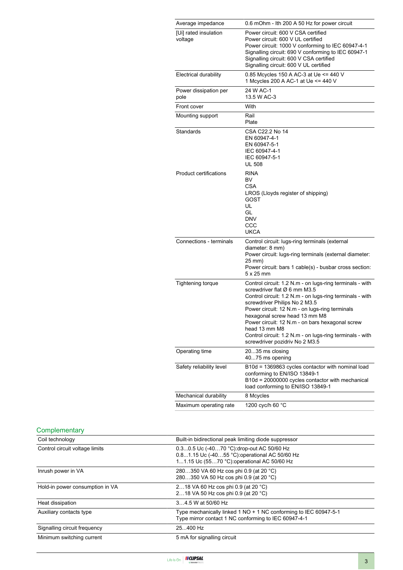| Average impedance                | 0.6 mOhm - Ith 200 A 50 Hz for power circuit                                                                                                                                                                                                                                                                                                                                                                                               |
|----------------------------------|--------------------------------------------------------------------------------------------------------------------------------------------------------------------------------------------------------------------------------------------------------------------------------------------------------------------------------------------------------------------------------------------------------------------------------------------|
| [Ui] rated insulation<br>voltage | Power circuit: 600 V CSA certified<br>Power circuit: 600 V UL certified<br>Power circuit: 1000 V conforming to IEC 60947-4-1<br>Signalling circuit: 690 V conforming to IEC 60947-1<br>Signalling circuit: 600 V CSA certified<br>Signalling circuit: 600 V UL certified                                                                                                                                                                   |
| <b>Electrical durability</b>     | 0.85 Mcycles 150 A AC-3 at Ue <= 440 V<br>1 Mcycles 200 A AC-1 at Ue <= 440 V                                                                                                                                                                                                                                                                                                                                                              |
| Power dissipation per<br>pole    | 24 W AC-1<br>13.5 W AC-3                                                                                                                                                                                                                                                                                                                                                                                                                   |
| Front cover                      | With                                                                                                                                                                                                                                                                                                                                                                                                                                       |
| Mounting support                 | Rail<br>Plate                                                                                                                                                                                                                                                                                                                                                                                                                              |
| Standards                        | CSA C22.2 No 14<br>EN 60947-4-1<br>EN 60947-5-1<br>IEC 60947-4-1<br>IEC 60947-5-1<br><b>UL 508</b>                                                                                                                                                                                                                                                                                                                                         |
| <b>Product certifications</b>    | <b>RINA</b><br>BV<br><b>CSA</b><br>LROS (Lloyds register of shipping)<br>GOST<br>UL<br>GL<br><b>DNV</b><br>CCC<br><b>UKCA</b>                                                                                                                                                                                                                                                                                                              |
| Connections - terminals          | Control circuit: lugs-ring terminals (external<br>diameter: 8 mm)<br>Power circuit: lugs-ring terminals (external diameter:<br>25 mm)<br>Power circuit: bars 1 cable(s) - busbar cross section:<br>$5 \times 25$ mm                                                                                                                                                                                                                        |
| <b>Tightening torque</b>         | Control circuit: 1.2 N.m - on lugs-ring terminals - with<br>screwdriver flat Ø 6 mm M3.5<br>Control circuit: 1.2 N.m - on lugs-ring terminals - with<br>screwdriver Philips No 2 M3.5<br>Power circuit: 12 N.m - on lugs-ring terminals<br>hexagonal screw head 13 mm M8<br>Power circuit: 12 N.m - on bars hexagonal screw<br>head 13 mm M8<br>Control circuit: 1.2 N.m - on lugs-ring terminals - with<br>screwdriver pozidriv No 2 M3.5 |
| Operating time                   | 2035 ms closing<br>4075 ms opening                                                                                                                                                                                                                                                                                                                                                                                                         |
| Safety reliability level         | B10d = 1369863 cycles contactor with nominal load<br>conforming to EN/ISO 13849-1<br>B10d = 20000000 cycles contactor with mechanical<br>load conforming to EN/ISO 13849-1                                                                                                                                                                                                                                                                 |
| Mechanical durability            | 8 Mcycles                                                                                                                                                                                                                                                                                                                                                                                                                                  |
| Maximum operating rate           | 1200 cyc/h 60 °C                                                                                                                                                                                                                                                                                                                                                                                                                           |

# **Complementary**

| Coil technology                 | Built-in bidirectional peak limiting diode suppressor                                                                                       |
|---------------------------------|---------------------------------------------------------------------------------------------------------------------------------------------|
| Control circuit voltage limits  | 0.30.5 Uc (-4070 °C): drop-out AC 50/60 Hz<br>0.81.15 Uc (-4055 °C): operational AC 50/60 Hz<br>11.15 Uc (5570 °C): operational AC 50/60 Hz |
| Inrush power in VA              | 280350 VA 60 Hz cos phi 0.9 (at 20 °C)<br>280350 VA 50 Hz cos phi 0.9 (at 20 °C)                                                            |
| Hold-in power consumption in VA | 218 VA 60 Hz cos phi 0.9 (at 20 °C)<br>218 VA 50 Hz cos phi 0.9 (at 20 °C)                                                                  |
| Heat dissipation                | 34.5 W at 50/60 Hz                                                                                                                          |
| Auxiliary contacts type         | Type mechanically linked 1 NO + 1 NC conforming to IEC 60947-5-1<br>Type mirror contact 1 NC conforming to IEC 60947-4-1                    |
| Signalling circuit frequency    | 25400 Hz                                                                                                                                    |
| Minimum switching current       | 5 mA for signalling circuit                                                                                                                 |